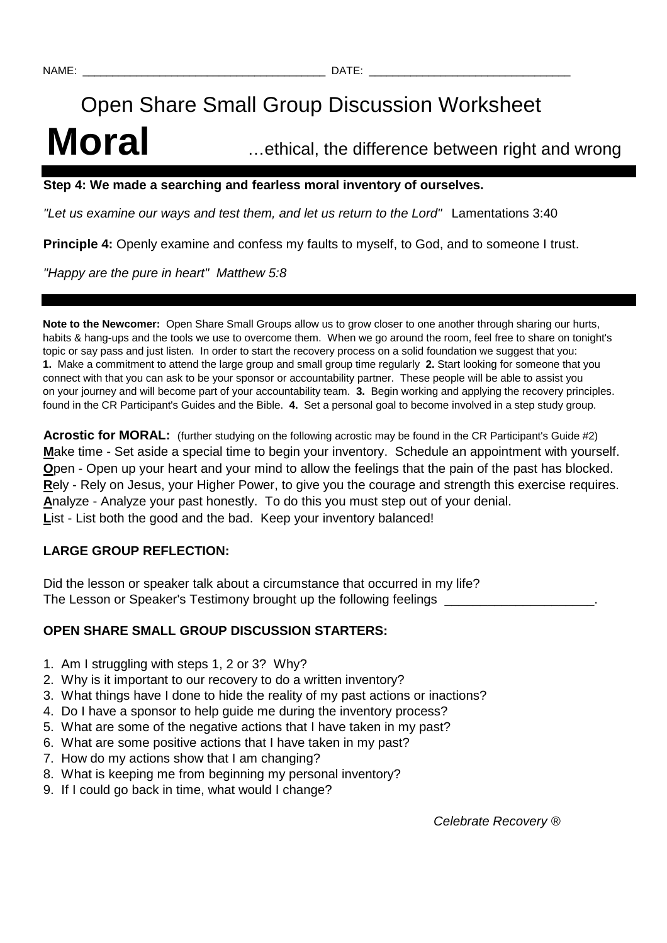# Open Share Small Group Discussion Worksheet **Moral** …ethical, the difference between right and wrong

#### **Step 4: We made a searching and fearless moral inventory of ourselves.**

"Let us examine our ways and test them, and let us return to the Lord" Lamentations 3:40

**Principle 4:** Openly examine and confess my faults to myself, to God, and to someone I trust.

"Happy are the pure in heart" Matthew 5:8

**Note to the Newcomer:** Open Share Small Groups allow us to grow closer to one another through sharing our hurts, habits & hang-ups and the tools we use to overcome them. When we go around the room, feel free to share on tonight's topic or say pass and just listen. In order to start the recovery process on a solid foundation we suggest that you: **1.** Make a commitment to attend the large group and small group time regularly **2.** Start looking for someone that you connect with that you can ask to be your sponsor or accountability partner. These people will be able to assist you on your journey and will become part of your accountability team. **3.** Begin working and applying the recovery principles. found in the CR Participant's Guides and the Bible. **4.** Set a personal goal to become involved in a step study group.

**Acrostic for MORAL:** (further studying on the following acrostic may be found in the CR Participant's Guide #2) **M**ake time - Set aside a special time to begin your inventory. Schedule an appointment with yourself. **O**pen - Open up your heart and your mind to allow the feelings that the pain of the past has blocked. **R**ely - Rely on Jesus, your Higher Power, to give you the courage and strength this exercise requires. **A**nalyze - Analyze your past honestly. To do this you must step out of your denial. List - List both the good and the bad. Keep your inventory balanced!

# **LARGE GROUP REFLECTION:**

Did the lesson or speaker talk about a circumstance that occurred in my life? The Lesson or Speaker's Testimony brought up the following feelings

# **OPEN SHARE SMALL GROUP DISCUSSION STARTERS:**

- 1. Am I struggling with steps 1, 2 or 3? Why?
- 2. Why is it important to our recovery to do a written inventory?
- 3. What things have I done to hide the reality of my past actions or inactions?
- 4. Do I have a sponsor to help guide me during the inventory process?
- 5. What are some of the negative actions that I have taken in my past?
- 6. What are some positive actions that I have taken in my past?
- 7. How do my actions show that I am changing?
- 8. What is keeping me from beginning my personal inventory?
- 9. If I could go back in time, what would I change?

Celebrate Recovery ®